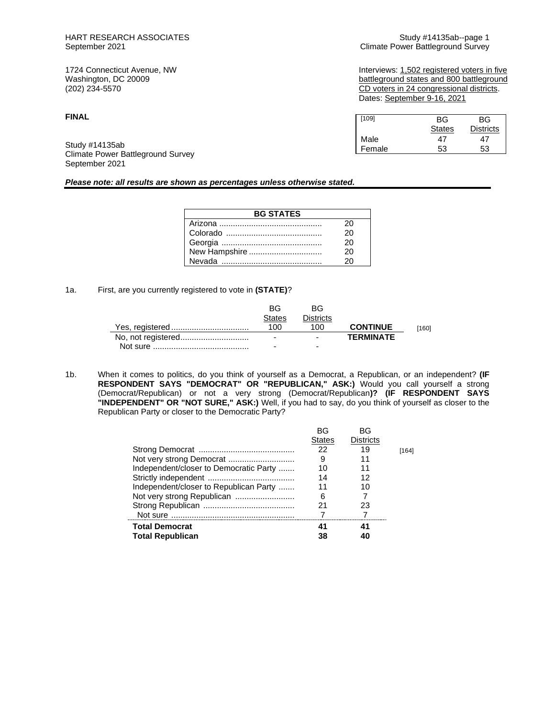## **FINAL**

Study #14135ab Climate Power Battleground Survey September 2021

### *Please note: all results are shown as percentages unless otherwise stated.*

| <b>BG STATES</b> |    |  |  |  |
|------------------|----|--|--|--|
|                  | 20 |  |  |  |
|                  | 20 |  |  |  |
|                  | 20 |  |  |  |
| New Hampshire    | 20 |  |  |  |
|                  |    |  |  |  |

## 1a. First, are you currently registered to vote in **(STATE)**?

| BG                       | <b>BG</b>                |                  |       |
|--------------------------|--------------------------|------------------|-------|
| <b>States</b>            | <b>Districts</b>         |                  |       |
| 100                      | 100                      | <b>CONTINUE</b>  | [160] |
| $\overline{\phantom{0}}$ | $\overline{\phantom{0}}$ | <b>TFRMINATF</b> |       |
| ۰                        | -                        |                  |       |

1b. When it comes to politics, do you think of yourself as a Democrat, a Republican, or an independent? **(IF RESPONDENT SAYS "DEMOCRAT" OR "REPUBLICAN," ASK:)** Would you call yourself a strong (Democrat/Republican) or not a very strong (Democrat/Republican**)? (IF RESPONDENT SAYS "INDEPENDENT" OR "NOT SURE," ASK:)** Well, if you had to say, do you think of yourself as closer to the Republican Party or closer to the Democratic Party?

|                                        | BG            | BG               |       |
|----------------------------------------|---------------|------------------|-------|
|                                        | <b>States</b> | <b>Districts</b> |       |
|                                        | 22            | 19               | [164] |
| Not very strong Democrat               | 9             |                  |       |
| Independent/closer to Democratic Party | 10            | 11               |       |
|                                        | 14            | 12               |       |
| Independent/closer to Republican Party | 11            | 10               |       |
|                                        | 6             |                  |       |
|                                        | 21            | 23               |       |
|                                        |               |                  |       |
| <b>Total Democrat</b>                  | 41            | 41               |       |
| <b>Total Republican</b>                | 38            |                  |       |

HART RESEARCH ASSOCIATES<br>
Study #14135ab--page 1<br>
Climate Power Battleground Survey Compact 2021 Climate Power Battleground Survey

1724 Connecticut Avenue, NW Interviews: 1,502 registered voters in five Washington, DC 20009 battleground states and 800 battleground (202) 234-5570<br>
(202) 234-5570 **battleground** CD voters in 24 congressional districts. CD voters in 24 congressional districts. Dates: September 9-16, 2021

| [109]  | BG            | ВG               |
|--------|---------------|------------------|
|        | <b>States</b> | <b>Districts</b> |
| Male   | 47            | 47               |
| Female | 53            | 53               |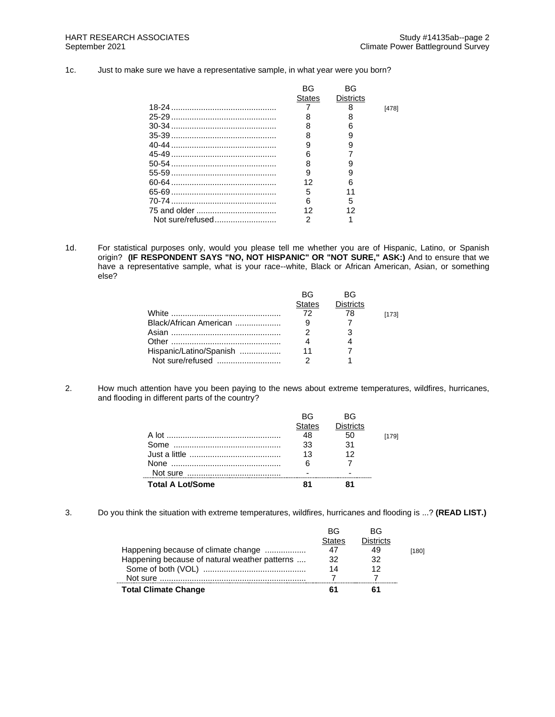1c. Just to make sure we have a representative sample, in what year were you born?

|                  | BG            | BG               |       |
|------------------|---------------|------------------|-------|
|                  | <b>States</b> | <b>Districts</b> |       |
|                  |               | 8                | [478] |
|                  |               |                  |       |
|                  | 8             | հ                |       |
|                  | 8             | 9                |       |
|                  | 9             | 9                |       |
|                  | 6             |                  |       |
|                  | 8             |                  |       |
|                  | 9             | 9                |       |
|                  | 12            | ิค               |       |
|                  | 5             |                  |       |
|                  | 6             | 5                |       |
| 75 and older     | 12            | 12               |       |
| Not sure/refused | 2             |                  |       |
|                  |               |                  |       |

1d. For statistical purposes only, would you please tell me whether you are of Hispanic, Latino, or Spanish origin? **(IF RESPONDENT SAYS "NO, NOT HISPANIC" OR "NOT SURE," ASK:)** And to ensure that we have a representative sample, what is your race--white, Black or African American, Asian, or something else?

|                         | BG.           | вG               |       |
|-------------------------|---------------|------------------|-------|
|                         | <b>States</b> | <b>Districts</b> |       |
|                         | 72            | 78               | [173] |
| Black/African American  |               |                  |       |
|                         |               |                  |       |
|                         |               |                  |       |
| Hispanic/Latino/Spanish |               |                  |       |
|                         |               |                  |       |

2. How much attention have you been paying to the news about extreme temperatures, wildfires, hurricanes, and flooding in different parts of the country?

|                         | RG.           | RG               |       |
|-------------------------|---------------|------------------|-------|
|                         | <b>States</b> | <b>Districts</b> |       |
|                         | 48            | 50               | [179] |
|                         | 33            | .31              |       |
|                         | 13            | 12               |       |
|                         | 6             |                  |       |
|                         |               |                  |       |
| <b>Total A Lot/Some</b> |               |                  |       |

3. Do you think the situation with extreme temperatures, wildfires, hurricanes and flooding is ...? **(READ LIST.)**

|                                               | BG     | ВG        |       |
|-----------------------------------------------|--------|-----------|-------|
|                                               | States | Districts |       |
| Happening because of climate change           | 47     | 49        | [180] |
| Happening because of natural weather patterns | 32     | 32        |       |
|                                               | 14     |           |       |
|                                               |        |           |       |
| <b>Total Climate Change</b>                   | к.     |           |       |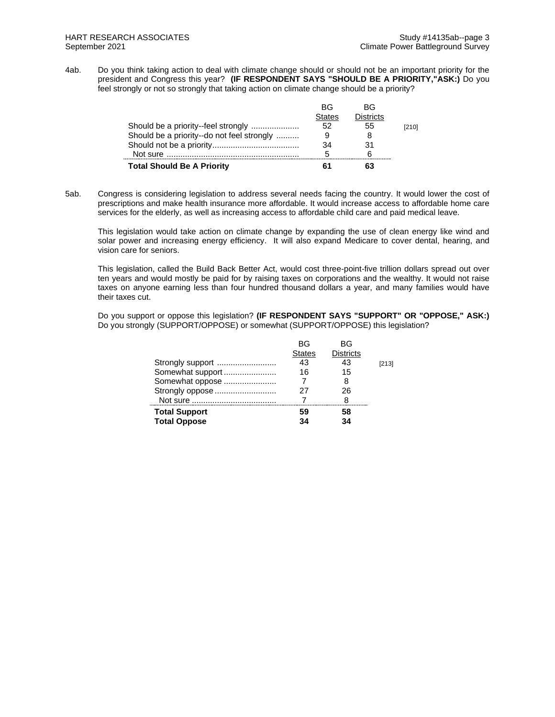4ab. Do you think taking action to deal with climate change should or should not be an important priority for the president and Congress this year? **(IF RESPONDENT SAYS "SHOULD BE A PRIORITY,"ASK:)** Do you feel strongly or not so strongly that taking action on climate change should be a priority?

|                                            | ВG            | ВG               |       |
|--------------------------------------------|---------------|------------------|-------|
|                                            | <b>States</b> | <b>Districts</b> |       |
| Should be a priority--feel strongly        | 52            | 55               | [210] |
| Should be a priority--do not feel strongly |               | 8                |       |
|                                            | 34            | 31               |       |
|                                            | 5             |                  |       |
| <b>Total Should Be A Priority</b>          |               | 63               |       |

5ab. Congress is considering legislation to address several needs facing the country. It would lower the cost of prescriptions and make health insurance more affordable. It would increase access to affordable home care services for the elderly, as well as increasing access to affordable child care and paid medical leave.

This legislation would take action on climate change by expanding the use of clean energy like wind and solar power and increasing energy efficiency. It will also expand Medicare to cover dental, hearing, and vision care for seniors.

This legislation, called the Build Back Better Act, would cost three-point-five trillion dollars spread out over ten years and would mostly be paid for by raising taxes on corporations and the wealthy. It would not raise taxes on anyone earning less than four hundred thousand dollars a year, and many families would have their taxes cut.

Do you support or oppose this legislation? **(IF RESPONDENT SAYS "SUPPORT" OR "OPPOSE," ASK:)** Do you strongly (SUPPORT/OPPOSE) or somewhat (SUPPORT/OPPOSE) this legislation?

|                                             | ВG<br><b>States</b> | ВG<br><b>Districts</b> |       |
|---------------------------------------------|---------------------|------------------------|-------|
| Strongly support                            | 43                  | 43                     | [213] |
| Somewhat support                            | 16                  | 15                     |       |
| Somewhat oppose                             |                     | 8                      |       |
| Strongly oppose                             | 27                  | 26                     |       |
|                                             |                     | 8                      |       |
| <b>Total Support</b><br><b>Total Oppose</b> | 59<br>34            | 58<br>34               |       |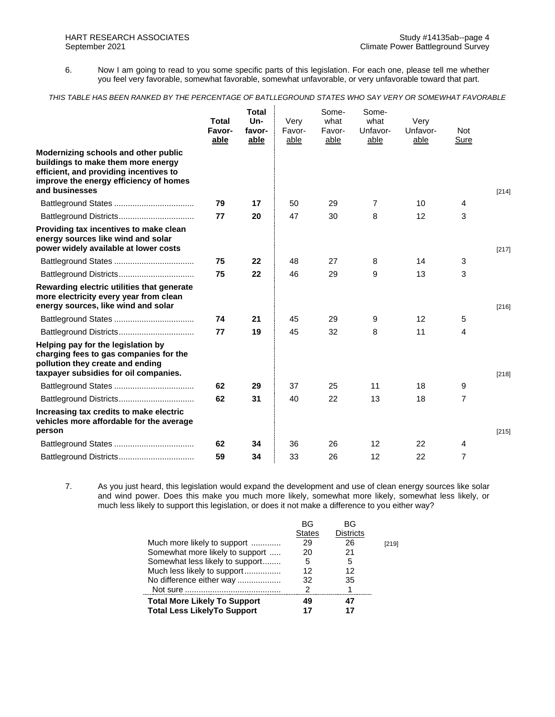6. Now I am going to read to you some specific parts of this legislation. For each one, please tell me whether you feel very favorable, somewhat favorable, somewhat unfavorable, or very unfavorable toward that part.

#### *THIS TABLE HAS BEEN RANKED BY THE PERCENTAGE OF BATLLEGROUND STATES WHO SAY VERY OR SOMEWHAT FAVORABLE*

|                                                                                                                                                                                  | <b>Total</b><br>Favor-<br>able | <b>Total</b><br>Un-<br>favor-<br>able | Very<br>Favor-<br>able | Some-<br>what<br>Favor-<br>able | Some-<br>what<br>Unfavor-<br>able | Very<br>Unfavor-<br>able | Not<br>Sure    |         |
|----------------------------------------------------------------------------------------------------------------------------------------------------------------------------------|--------------------------------|---------------------------------------|------------------------|---------------------------------|-----------------------------------|--------------------------|----------------|---------|
| Modernizing schools and other public<br>buildings to make them more energy<br>efficient, and providing incentives to<br>improve the energy efficiency of homes<br>and businesses |                                |                                       |                        |                                 |                                   |                          |                | $[214]$ |
|                                                                                                                                                                                  | 79                             | 17                                    | 50                     | 29                              | $\overline{7}$                    | 10                       | 4              |         |
|                                                                                                                                                                                  | 77                             | 20                                    | 47                     | 30                              | 8                                 | 12                       | 3              |         |
| Providing tax incentives to make clean<br>energy sources like wind and solar<br>power widely available at lower costs                                                            |                                |                                       |                        |                                 |                                   |                          |                | $[217]$ |
|                                                                                                                                                                                  | 75                             | 22                                    | 48                     | 27                              | 8                                 | 14                       | 3              |         |
|                                                                                                                                                                                  | 75                             | 22                                    | 46                     | 29                              | 9                                 | 13                       | 3              |         |
| Rewarding electric utilities that generate<br>more electricity every year from clean<br>energy sources, like wind and solar                                                      |                                |                                       |                        |                                 |                                   |                          |                | $[216]$ |
|                                                                                                                                                                                  | 74                             | 21                                    | 45                     | 29                              | 9                                 | 12 <sup>2</sup>          | 5              |         |
|                                                                                                                                                                                  | 77                             | 19                                    | 45                     | 32                              | 8                                 | 11                       | 4              |         |
| Helping pay for the legislation by<br>charging fees to gas companies for the<br>pollution they create and ending<br>taxpayer subsidies for oil companies.                        |                                |                                       |                        |                                 |                                   |                          |                | $[218]$ |
|                                                                                                                                                                                  | 62                             | 29                                    | 37                     | 25                              | 11                                | 18                       | 9              |         |
|                                                                                                                                                                                  | 62                             | 31                                    | 40                     | 22                              | 13                                | 18                       | 7              |         |
| Increasing tax credits to make electric<br>vehicles more affordable for the average<br>person                                                                                    |                                |                                       |                        |                                 |                                   |                          |                | $[215]$ |
|                                                                                                                                                                                  | 62                             | 34                                    | 36                     | 26                              | $12 \overline{ }$                 | 22                       | 4              |         |
| Battleground Districts                                                                                                                                                           | 59                             | 34                                    | 33                     | 26                              | 12                                | 22                       | $\overline{7}$ |         |

7. As you just heard, this legislation would expand the development and use of clean energy sources like solar and wind power. Does this make you much more likely, somewhat more likely, somewhat less likely, or much less likely to support this legislation, or does it not make a difference to you either way?

| BG            | BG               |       |
|---------------|------------------|-------|
| <b>States</b> | <b>Districts</b> |       |
| 29            | 26               | [219] |
| 20            | 21               |       |
| 5             | 5                |       |
| 12            | 12               |       |
| 32            | 35               |       |
| 2             |                  |       |
| 49            | 47               |       |
| 17            | 17               |       |
|               |                  |       |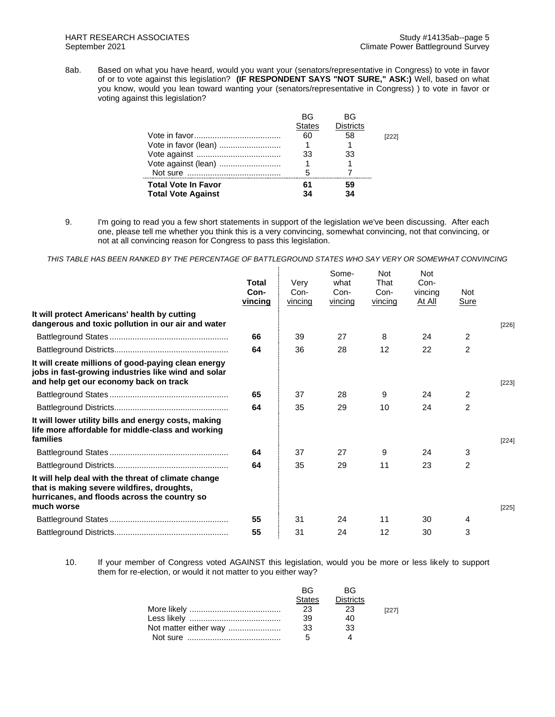8ab. Based on what you have heard, would you want your (senators/representative in Congress) to vote in favor of or to vote against this legislation? **(IF RESPONDENT SAYS "NOT SURE," ASK:)** Well, based on what you know, would you lean toward wanting your (senators/representative in Congress) ) to vote in favor or voting against this legislation?

|                            | ВG            | ВG               |       |
|----------------------------|---------------|------------------|-------|
|                            | <b>States</b> | <b>Districts</b> |       |
|                            | 60            | 58               | [222] |
| Vote in favor (lean)       |               |                  |       |
|                            | 33            | 33               |       |
| Vote against (lean)        |               |                  |       |
|                            | 5             |                  |       |
| <b>Total Vote In Favor</b> | 61            | 59               |       |
| <b>Total Vote Against</b>  | 34            | 34               |       |

9. I'm going to read you a few short statements in support of the legislation we've been discussing. After each one, please tell me whether you think this is a very convincing, somewhat convincing, not that convincing, or not at all convincing reason for Congress to pass this legislation.

*THIS TABLE HAS BEEN RANKED BY THE PERCENTAGE OF BATTLEGROUND STATES WHO SAY VERY OR SOMEWHAT CONVINCING*

|                                                                                                                                                                 | Total<br>Con-<br>vincing | Verv<br>Con-<br>vincing | Some-<br>what<br>Con-<br>vincing | <b>Not</b><br>That<br>Con-<br>vincing | <b>Not</b><br>Con-<br>vincing<br>At All | <b>Not</b><br>Sure |         |
|-----------------------------------------------------------------------------------------------------------------------------------------------------------------|--------------------------|-------------------------|----------------------------------|---------------------------------------|-----------------------------------------|--------------------|---------|
| It will protect Americans' health by cutting<br>dangerous and toxic pollution in our air and water                                                              |                          |                         |                                  |                                       |                                         |                    | $[226]$ |
|                                                                                                                                                                 | 66                       | 39                      | 27                               | 8                                     | 24                                      | $\overline{2}$     |         |
|                                                                                                                                                                 | 64                       | 36                      | 28                               | 12                                    | 22                                      | $\overline{2}$     |         |
| It will create millions of good-paying clean energy<br>jobs in fast-growing industries like wind and solar<br>and help get our economy back on track            |                          |                         |                                  |                                       |                                         |                    | $[223]$ |
|                                                                                                                                                                 | 65                       | 37                      | 28                               | 9                                     | 24                                      | 2                  |         |
|                                                                                                                                                                 | 64                       | 35                      | 29                               | 10                                    | 24                                      | $\overline{2}$     |         |
| It will lower utility bills and energy costs, making<br>life more affordable for middle-class and working<br>families                                           |                          |                         |                                  |                                       |                                         |                    | $[224]$ |
|                                                                                                                                                                 | 64                       | 37                      | 27                               | 9                                     | 24                                      | 3                  |         |
|                                                                                                                                                                 | 64                       | 35                      | 29                               | 11                                    | 23                                      | $\overline{2}$     |         |
| It will help deal with the threat of climate change<br>that is making severe wildfires, droughts,<br>hurricanes, and floods across the country so<br>much worse |                          |                         |                                  |                                       |                                         |                    | $[225]$ |
|                                                                                                                                                                 | 55                       | 31                      | 24                               | 11                                    | 30                                      | 4                  |         |
|                                                                                                                                                                 | 55                       | 31                      | 24                               | 12                                    | 30                                      | 3                  |         |

10. If your member of Congress voted AGAINST this legislation, would you be more or less likely to support them for re-election, or would it not matter to you either way?

|                       | RG.           | <b>RG</b> |       |
|-----------------------|---------------|-----------|-------|
|                       | <b>States</b> | Districts |       |
|                       | 23            | 23        | [227] |
|                       | 39            | 40        |       |
| Not matter either way | -33           | 33        |       |
|                       | Б,            |           |       |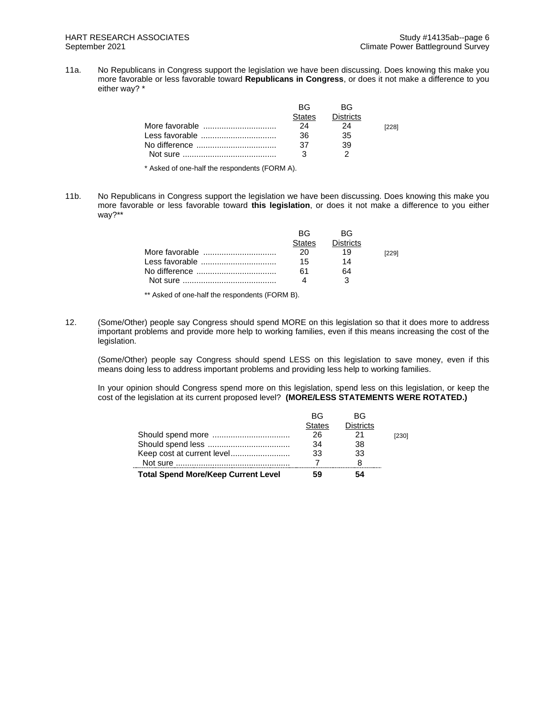11a. No Republicans in Congress support the legislation we have been discussing. Does knowing this make you more favorable or less favorable toward **Republicans in Congress**, or does it not make a difference to you either way? \*

|                | RG.    | <b>BG</b>        |       |
|----------------|--------|------------------|-------|
|                | States | <b>Districts</b> |       |
| More favorable | 24     | 24               | [228] |
| Less favorable | 36     | 35               |       |
|                | 37     | 39               |       |
|                |        |                  |       |

\* Asked of one-half the respondents (FORM A).

11b. No Republicans in Congress support the legislation we have been discussing. Does knowing this make you more favorable or less favorable toward **this legislation**, or does it not make a difference to you either way?\*\*

| RG.<br>States | RG.<br><b>Districts</b> |  |
|---------------|-------------------------|--|
| 20            | 19                      |  |
| 15            | 14                      |  |
| 61            | 64                      |  |
|               |                         |  |

\*\* Asked of one-half the respondents (FORM B).

12. (Some/Other) people say Congress should spend MORE on this legislation so that it does more to address important problems and provide more help to working families, even if this means increasing the cost of the legislation.

(Some/Other) people say Congress should spend LESS on this legislation to save money, even if this means doing less to address important problems and providing less help to working families.

In your opinion should Congress spend more on this legislation, spend less on this legislation, or keep the cost of the legislation at its current proposed level? **(MORE/LESS STATEMENTS WERE ROTATED.)**

|                                            | <b>BG</b>     | <b>BG</b>        |       |
|--------------------------------------------|---------------|------------------|-------|
|                                            | <b>States</b> | <b>Districts</b> |       |
|                                            | 26            |                  | [230] |
|                                            | 34            | 38               |       |
| Keep cost at current level                 | 33            | 33               |       |
|                                            |               |                  |       |
| <b>Total Spend More/Keep Current Level</b> | 59            | 54               |       |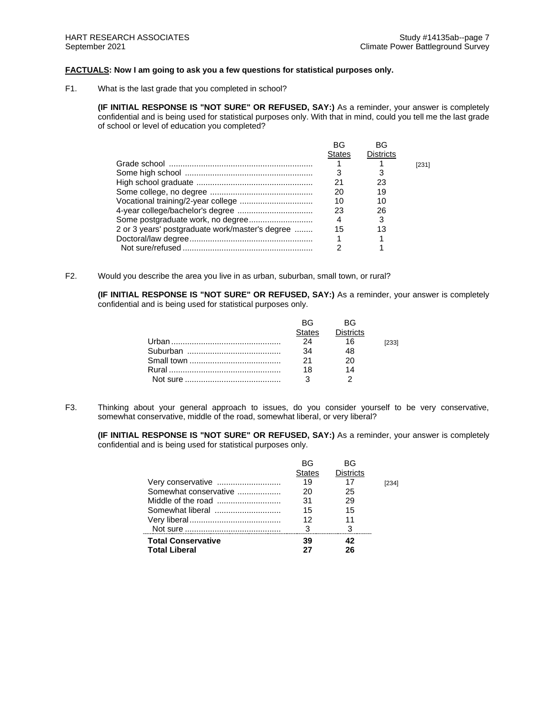# **FACTUALS: Now I am going to ask you a few questions for statistical purposes only.**

F1. What is the last grade that you completed in school?

**(IF INITIAL RESPONSE IS "NOT SURE" OR REFUSED, SAY:)** As a reminder, your answer is completely confidential and is being used for statistical purposes only. With that in mind, could you tell me the last grade of school or level of education you completed?

|                                                 | <b>BG</b>     | BG               |       |
|-------------------------------------------------|---------------|------------------|-------|
|                                                 | <b>States</b> | <b>Districts</b> |       |
|                                                 |               |                  | [231] |
|                                                 |               |                  |       |
|                                                 | 21            | 23               |       |
|                                                 | 20            | 19               |       |
|                                                 | 10            | 10               |       |
|                                                 | 23            | 26               |       |
|                                                 | 4             |                  |       |
| 2 or 3 years' postgraduate work/master's degree | 15            | 13               |       |
|                                                 |               |                  |       |
|                                                 |               |                  |       |
|                                                 |               |                  |       |

F2. Would you describe the area you live in as urban, suburban, small town, or rural?

**(IF INITIAL RESPONSE IS "NOT SURE" OR REFUSED, SAY:)** As a reminder, your answer is completely confidential and is being used for statistical purposes only.

| RG —   | RG.              |       |
|--------|------------------|-------|
| States | <b>Districts</b> |       |
| 24     | 16               | [233] |
| 34     | 48               |       |
| 21     | 20               |       |
| 18     | 14               |       |
|        |                  |       |

F3. Thinking about your general approach to issues, do you consider yourself to be very conservative, somewhat conservative, middle of the road, somewhat liberal, or very liberal?

**(IF INITIAL RESPONSE IS "NOT SURE" OR REFUSED, SAY:)** As a reminder, your answer is completely confidential and is being used for statistical purposes only.

|                           | BG            | ВG               |       |
|---------------------------|---------------|------------------|-------|
|                           | <b>States</b> | <b>Districts</b> |       |
|                           | 19            | 17               | [234] |
| Somewhat conservative     | 20            | 25               |       |
|                           | 31            | 29               |       |
|                           | 15            | 15               |       |
|                           | 12            | 11               |       |
|                           | 3             | 3                |       |
| <b>Total Conservative</b> | 39            | 42               |       |
| <b>Total Liberal</b>      | 27            | 26               |       |